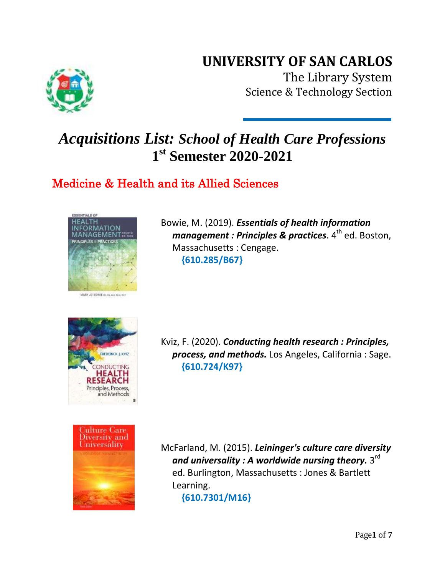## **UNIVERSITY OF SAN CARLOS**



The Library System Science & Technology Section

# *Acquisitions List: School of Health Care Professions* **1 st Semester 2020-2021**

### Medicine & Health and its Allied Sciences



Bowie, M. (2019). *Essentials of health information management : Principles & practices*. 4<sup>th</sup> ed. Boston, Massachusetts : Cengage. **{610.285/B67}**



Kviz, F. (2020). *Conducting health research : Principles, process, and methods.* Los Angeles, California : Sage. **{610.724/K97}**



McFarland, M. (2015). *Leininger's culture care diversity*  and universality : A worldwide nursing theory.  $3^{\mathsf{rd}}$  ed. Burlington, Massachusetts : Jones & Bartlett Learning. **{610.7301/M16}**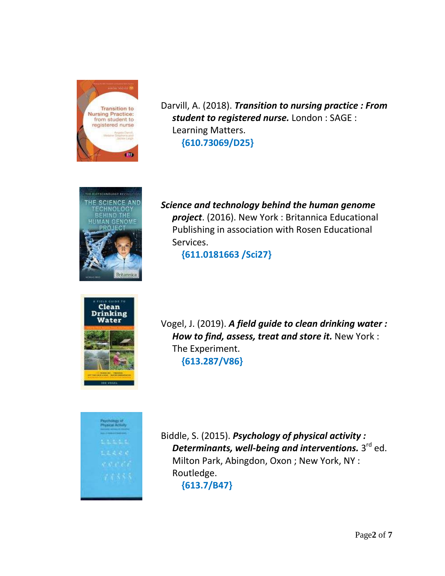

Darvill, A. (2018). *Transition to nursing practice : From student to registered nurse.* London : SAGE : Learning Matters.  **{610.73069/D25}**



*Science and technology behind the human genome project*. (2016). New York : Britannica Educational Publishing in association with Rosen Educational Services.

 **{611.0181663 /Sci27}**



Vogel, J. (2019). *A field guide to clean drinking water : How to find, assess, treat and store it.* New York : The Experiment. **{613.287/V86}**



Biddle, S. (2015). *Psychology of physical activity :*  **Determinants, well-being and interventions.** 3<sup>rd</sup> ed. Milton Park, Abingdon, Oxon ; New York, NY : Routledge. **{613.7/B47}**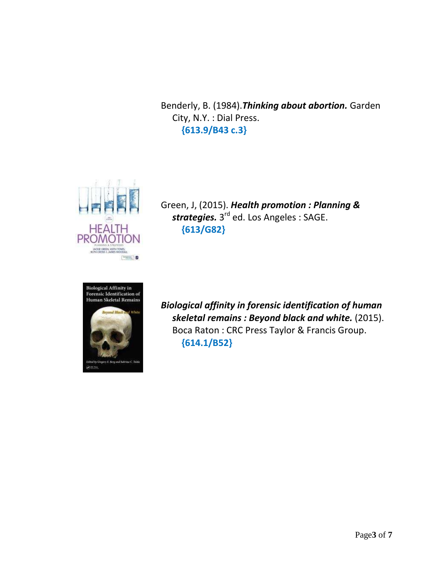Benderly, B. (1984).*Thinking about abortion.* Garden City, N.Y. : Dial Press. **{613.9/B43 c.3}**



Green, J, (2015). *Health promotion : Planning & strategies.* 3<sup>rd</sup> ed. Los Angeles : SAGE. **{613/G82}**



*Biological affinity in forensic identification of human skeletal remains : Beyond black and white.* (2015). Boca Raton : CRC Press Taylor & Francis Group. **{614.1/B52}**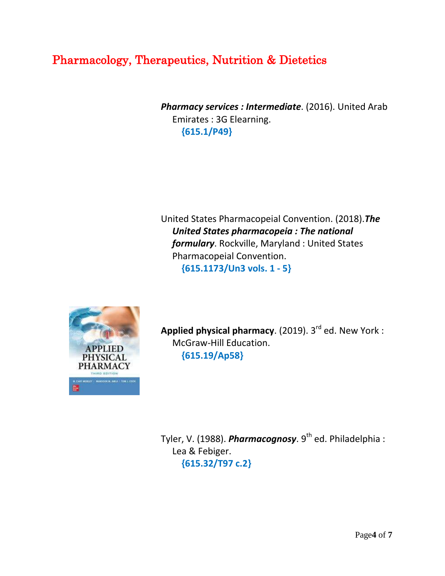### Pharmacology, Therapeutics, Nutrition & Dietetics

*Pharmacy services : Intermediate*. (2016). United Arab Emirates : 3G Elearning.  **{615.1/P49}**

United States Pharmacopeial Convention. (2018).*The United States pharmacopeia : The national formulary*. Rockville, Maryland : United States Pharmacopeial Convention.  **{615.1173/Un3 vols. 1 - 5}**



**Applied physical pharmacy**. (2019). 3<sup>rd</sup> ed. New York : McGraw-Hill Education. **{615.19/Ap58}**

Tyler, V. (1988). *Pharmacognosy*. 9<sup>th</sup> ed. Philadelphia : Lea & Febiger. **{615.32/T97 c.2}**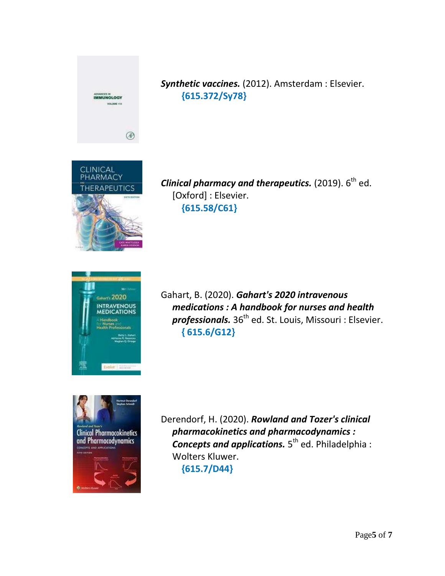

*Synthetic vaccines.* (2012). Amsterdam : Elsevier.  **{615.372/Sy78}**



*Clinical pharmacy and therapeutics.* (2019).  $6^{\text{th}}$  ed. [Oxford] : Elsevier.  **{615.58/C61}**



Gahart, B. (2020). *Gahart's 2020 intravenous medications : A handbook for nurses and health*  professionals. 36<sup>th</sup> ed. St. Louis, Missouri : Elsevier.  **{ 615.6/G12}**



Derendorf, H. (2020). *Rowland and Tozer's clinical pharmacokinetics and pharmacodynamics :*  **Concepts and applications.** 5<sup>th</sup> ed. Philadelphia: Wolters Kluwer.  **{615.7/D44}**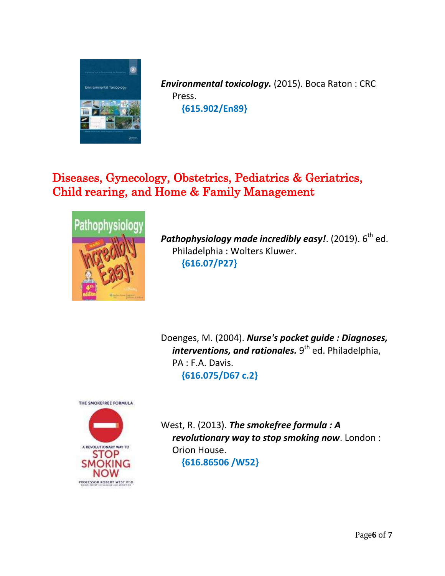

*Environmental toxicology.* (2015). Boca Raton : CRC Press.  **{615.902/En89}**

### Diseases, Gynecology, Obstetrics, Pediatrics & Geriatrics, Child rearing, and Home & Family Management



**Pathophysiology made incredibly easy!**. (2019).  $6^\text{th}$  ed. Philadelphia : Wolters Kluwer.  **{616.07/P27}**

Doenges, M. (2004). *Nurse's pocket guide : Diagnoses, interventions, and rationales.* 9<sup>th</sup> ed. Philadelphia, PA : F.A. Davis.  **{616.075/D67 c.2}**



West, R. (2013). *The smokefree formula : A revolutionary way to stop smoking now*. London : Orion House.  **{616.86506 /W52}**